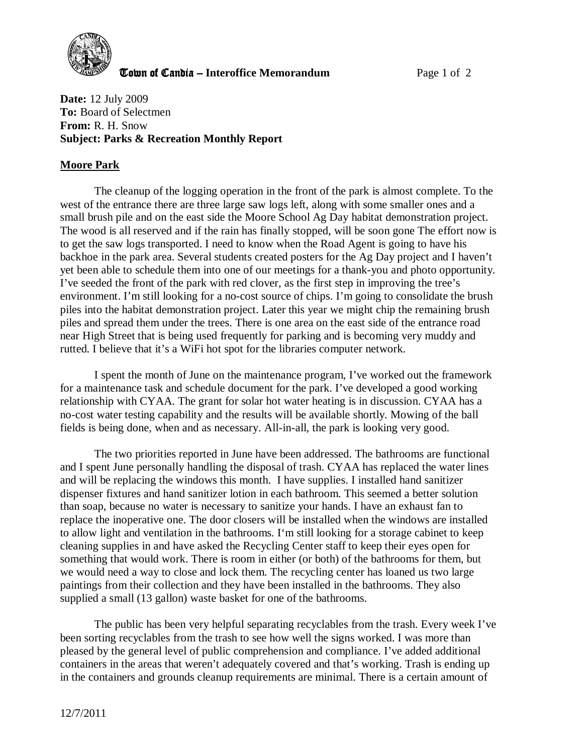

**The United Candia – Interoffice Memorandum** *Page 1 of 2* 

**Date:** 12 July 2009 **To:** Board of Selectmen **From:** R. H. Snow **Subject: Parks & Recreation Monthly Report** 

## **Moore Park**

The cleanup of the logging operation in the front of the park is almost complete. To the west of the entrance there are three large saw logs left, along with some smaller ones and a small brush pile and on the east side the Moore School Ag Day habitat demonstration project. The wood is all reserved and if the rain has finally stopped, will be soon gone The effort now is to get the saw logs transported. I need to know when the Road Agent is going to have his backhoe in the park area. Several students created posters for the Ag Day project and I haven't yet been able to schedule them into one of our meetings for a thank-you and photo opportunity. I've seeded the front of the park with red clover, as the first step in improving the tree's environment. I'm still looking for a no-cost source of chips. I'm going to consolidate the brush piles into the habitat demonstration project. Later this year we might chip the remaining brush piles and spread them under the trees. There is one area on the east side of the entrance road near High Street that is being used frequently for parking and is becoming very muddy and rutted. I believe that it's a WiFi hot spot for the libraries computer network.

I spent the month of June on the maintenance program, I've worked out the framework for a maintenance task and schedule document for the park. I've developed a good working relationship with CYAA. The grant for solar hot water heating is in discussion. CYAA has a no-cost water testing capability and the results will be available shortly. Mowing of the ball fields is being done, when and as necessary. All-in-all, the park is looking very good.

The two priorities reported in June have been addressed. The bathrooms are functional and I spent June personally handling the disposal of trash. CYAA has replaced the water lines and will be replacing the windows this month. I have supplies. I installed hand sanitizer dispenser fixtures and hand sanitizer lotion in each bathroom. This seemed a better solution than soap, because no water is necessary to sanitize your hands. I have an exhaust fan to replace the inoperative one. The door closers will be installed when the windows are installed to allow light and ventilation in the bathrooms. I'm still looking for a storage cabinet to keep cleaning supplies in and have asked the Recycling Center staff to keep their eyes open for something that would work. There is room in either (or both) of the bathrooms for them, but we would need a way to close and lock them. The recycling center has loaned us two large paintings from their collection and they have been installed in the bathrooms. They also supplied a small (13 gallon) waste basket for one of the bathrooms.

The public has been very helpful separating recyclables from the trash. Every week I've been sorting recyclables from the trash to see how well the signs worked. I was more than pleased by the general level of public comprehension and compliance. I've added additional containers in the areas that weren't adequately covered and that's working. Trash is ending up in the containers and grounds cleanup requirements are minimal. There is a certain amount of